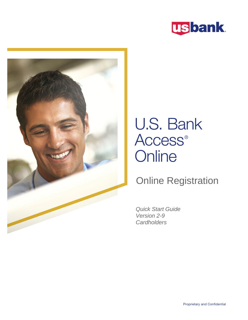



# U.S. Bank Access<sup>®</sup> **Online**

### Online Registration

Quick Start Guide Version 2-9 **Cardholders**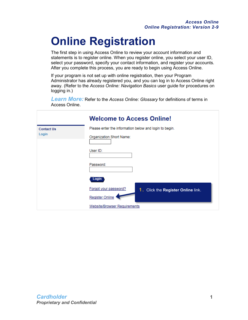## **Online Registration**

The first step in using Access Online to review your account information and statements is to register online. When you register online, you select your user ID, select your password, specify your contact information, and register your accounts. After you complete this process, you are ready to begin using Access Online.

If your program is not set up with online registration, then your Program Administrator has already registered you, and you can log in to Access Online right away. (Refer to the *Access Online: Navigation Basics* user guide for procedures on logging in.)

*Learn More:* Refer to the *Access Online: Glossary* for definitions of terms in Access Online.

|                            | <b>Welcome to Access Online!</b>                            |  |  |  |  |  |
|----------------------------|-------------------------------------------------------------|--|--|--|--|--|
| <b>Contact Us</b><br>Login | Please enter the information below and login to begin.      |  |  |  |  |  |
|                            | Organization Short Name:                                    |  |  |  |  |  |
|                            | User ID:                                                    |  |  |  |  |  |
|                            | Password:                                                   |  |  |  |  |  |
|                            | Login                                                       |  |  |  |  |  |
|                            | Forgot your password?<br>1. Click the Register Online link. |  |  |  |  |  |
|                            | <b>Register Online</b>                                      |  |  |  |  |  |
|                            | <b>Website/Browser Requirements</b>                         |  |  |  |  |  |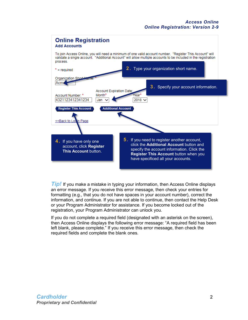

*Tip!* If you make a mistake in typing your information, then Access Online displays an error message. If you receive this error message, then check your entries for formatting (e.g., that you do not have spaces in your account number), correct the information, and continue. If you are not able to continue, then contact the Help Desk or your Program Administrator for assistance. If you become locked out of the registration, your Program Administrator can unlock you.

If you do not complete a required field (designated with an asterisk on the screen), then Access Online displays the following error message: "A required field has been left blank, please complete." If you receive this error message, then check the required fields and complete the blank ones.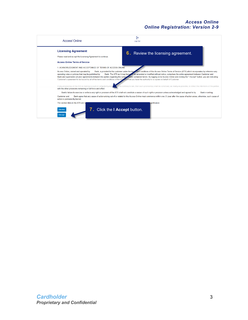#### *Access Online Online Registration: Version 2-9*

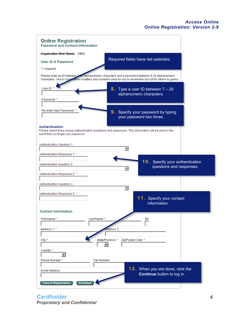| <b>Online Registration</b><br><b>Password and Contact Information</b>                                                                                                                                          |                                                                |
|----------------------------------------------------------------------------------------------------------------------------------------------------------------------------------------------------------------|----------------------------------------------------------------|
| <b>Organization Short Name: CMEA</b>                                                                                                                                                                           |                                                                |
| Required fields have red asterisks.<br><b>User ID &amp; Password</b>                                                                                                                                           |                                                                |
| $*$ = required                                                                                                                                                                                                 |                                                                |
| Please enter an ID between 7 20 alphanumeric characters and a password between 8-20 alphanumeric<br>characters. Use a combination of letters and numbers easy for you to remember but not for others to guess. |                                                                |
| User ID: *<br>8. Type a user ID between $7 - 20$<br>alphanumeric characters.<br>Password: *                                                                                                                    |                                                                |
| Re-enter New Password: *<br>9. Specify your password by typing<br>your password two times.                                                                                                                     |                                                                |
| Authentication<br>Please select three unique authentication questions and responses. This information will be used in the<br>event that you forget your password.                                              |                                                                |
| Authentication Question 1:                                                                                                                                                                                     |                                                                |
| Authentication Response 1:*                                                                                                                                                                                    |                                                                |
| Authentication Question 2:                                                                                                                                                                                     | 10. Specify your authentication<br>questions and responses.    |
| Authentication Response 2:*                                                                                                                                                                                    |                                                                |
| Authentication Question 3:<br>▾                                                                                                                                                                                |                                                                |
| Authentication Response 3: *                                                                                                                                                                                   |                                                                |
|                                                                                                                                                                                                                | 11. Specify your contact<br>information.                       |
| <b>Contact Information</b>                                                                                                                                                                                     |                                                                |
| First Name: *<br>Last Name: *<br>MI:                                                                                                                                                                           |                                                                |
|                                                                                                                                                                                                                |                                                                |
| Address 1:*<br>ddress 2:                                                                                                                                                                                       |                                                                |
| State/Province: *<br>City: *<br>Zip/Postal Code: *                                                                                                                                                             |                                                                |
| $\mathbf{v}$<br>Country: *                                                                                                                                                                                     |                                                                |
| Phone Number: *<br>Fax Number:                                                                                                                                                                                 |                                                                |
| Email Address:                                                                                                                                                                                                 | 12. When you are done, click the<br>Continue button to log in. |

*Cardholder* **4** *Proprietary and Confidential*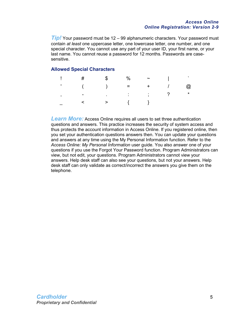#### *Access Online Online Registration: Version 2-9*

*Tip!* Your password must be 12 – 99 alphanumeric characters. Your password must contain *at least* one uppercase letter, one lowercase letter, one number, and one special character. You cannot use any part of your user ID, your first name, or your last name. You cannot reuse a password for 12 months. Passwords are casesensitive.

#### **Allowed Special Characters**

| $\frac{1}{2}$ # \$ % ~                                                                                                                                                                                                                                                                                                                                                                |  |  |  |
|---------------------------------------------------------------------------------------------------------------------------------------------------------------------------------------------------------------------------------------------------------------------------------------------------------------------------------------------------------------------------------------|--|--|--|
| $\begin{pmatrix} 1 & 1 & 1 \\ 1 & 1 & 1 \end{pmatrix}$ ( $\begin{pmatrix} 1 & 1 & 1 \\ 1 & 1 & 1 \end{pmatrix}$ = $\begin{pmatrix} 1 & 1 & 1 \\ 1 & 1 & 1 \end{pmatrix}$ = $\begin{pmatrix} 1 & 1 & 1 \\ 1 & 1 & 1 \end{pmatrix}$ = $\begin{pmatrix} 1 & 1 & 1 \\ 1 & 1 & 1 \end{pmatrix}$ = $\begin{pmatrix} 1 & 1 & 1 \\ 1 & 1 & 1 \end{pmatrix}$ = $\begin{pmatrix} 1 & 1 & 1 \\ $ |  |  |  |
| $\alpha$ , $\beta$ , $\beta$ , $\alpha$                                                                                                                                                                                                                                                                                                                                               |  |  |  |
|                                                                                                                                                                                                                                                                                                                                                                                       |  |  |  |

**Learn More:** Access Online requires all users to set three authentication questions and answers. This practice increases the security of system access and thus protects the account information in Access Online. If you registered online, then you set your authentication questions answers then. You can update your questions and answers at any time using the My Personal Information function. Refer to the *Access Online: My Personal Information* user guide. You also answer one of your questions if you use the Forgot Your Password function. Program Administrators can view, but not edit, your questions. Program Administrators cannot view your answers. Help desk staff can also see your questions, but not your answers. Help desk staff can only validate as correct/incorrect the answers you give them on the telephone.